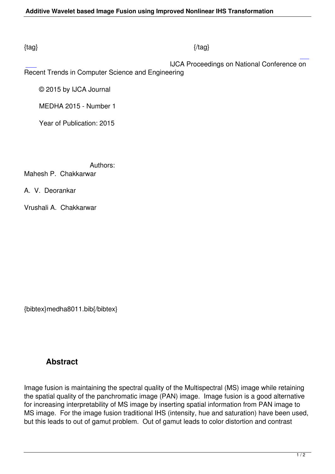### $\{tag\}$

IJCA Proceedings on National Conference on

Recent Trends in Computer Science and Engineering

© 2015 by IJCA Journal

MEDHA 2015 - Number 1

Year of Publication: 2015

 Authors: Mahesh P. Chakkarwar

A. V. Deorankar

Vrushali A. Chakkarwar

{bibtex}medha8011.bib{/bibtex}

# **Abstract**

Image fusion is maintaining the spectral quality of the Multispectral (MS) image while retaining the spatial quality of the panchromatic image (PAN) image. Image fusion is a good alternative for increasing interpretability of MS image by inserting spatial information from PAN image to MS image. For the image fusion traditional IHS (intensity, hue and saturation) have been used, but this leads to out of gamut problem. Out of gamut leads to color distortion and contrast